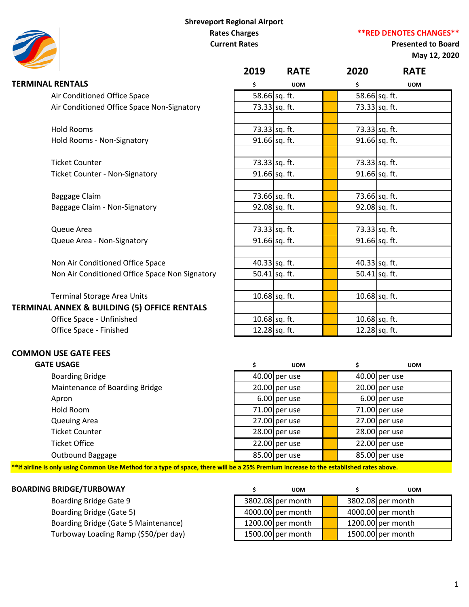# **Shreveport Regional Airport Rates Charges Current Rates**

**\*\*RED DENOTES CHANGES\*\***

# **Presented to Board May 12, 2020**

|                                                | 2019 | <b>RATE</b>   | 2020 | <b>RATE</b>     |
|------------------------------------------------|------|---------------|------|-----------------|
| <b>TERMINAL RENTALS</b>                        | \$   | <b>UOM</b>    | \$   | <b>UOM</b>      |
| Air Conditioned Office Space                   |      | 58.66 sq. ft. |      | 58.66 sq. ft.   |
| Air Conditioned Office Space Non-Signatory     |      | 73.33 sq. ft. |      | 73.33 sq. ft.   |
|                                                |      |               |      |                 |
| <b>Hold Rooms</b>                              |      | 73.33 sq. ft. |      | 73.33 sq. ft.   |
| Hold Rooms - Non-Signatory                     |      | 91.66 sq. ft. |      | 91.66 sq. ft.   |
| <b>Ticket Counter</b>                          |      | 73.33 sq. ft. |      | 73.33 sq. ft.   |
| <b>Ticket Counter - Non-Signatory</b>          |      | 91.66 sq. ft. |      | 91.66 sq. ft.   |
|                                                |      |               |      |                 |
| Baggage Claim                                  |      | 73.66 sq. ft. |      | 73.66 sq. ft.   |
| Baggage Claim - Non-Signatory                  |      | 92.08 sq. ft. |      | 92.08 sq. ft.   |
| Queue Area                                     |      | 73.33 sq. ft. |      | 73.33 sq. ft.   |
| Queue Area - Non-Signatory                     |      | 91.66 sq. ft. |      | 91.66 sq. ft.   |
| Non Air Conditioned Office Space               |      | 40.33 sq. ft. |      | $40.33$ sq. ft. |
| Non Air Conditioned Office Space Non Signatory |      | 50.41 sq. ft. |      | 50.41 $sq.$ ft. |
|                                                |      |               |      |                 |
| <b>Terminal Storage Area Units</b>             |      | 10.68 sq. ft. |      | $10.68$ sq. ft. |
| TERMINAL ANNEX & BUILDING (5) OFFICE RENTALS   |      |               |      |                 |
| Office Space - Unfinished                      |      | 10.68 sq. ft. |      | 10.68 sq. ft.   |
| Office Space - Finished                        |      | 12.28 sq. ft. |      | 12.28 sq. ft.   |

| <b>GATE USAGE</b>              | <b>UOM</b>      |  | <b>UOM</b>      |
|--------------------------------|-----------------|--|-----------------|
| <b>Boarding Bridge</b>         | $40.00$ per use |  | $40.00$ per use |
| Maintenance of Boarding Bridge | $20.00$ per use |  | $20.00$ per use |
| Apron                          | $6.00$ per use  |  | $6.00$ per use  |
| Hold Room                      | $71.00$ per use |  | 71.00 per use   |
| <b>Queuing Area</b>            | $27.00$ per use |  | $27.00$ per use |
| <b>Ticket Counter</b>          | $28.00$ per use |  | $28.00$ per use |
| <b>Ticket Office</b>           | $22.00$ per use |  | $22.00$ per use |
| Outbound Baggage               | $85.00$ per use |  | 85.00 per use   |

**\*\*If airline is only using Common Use Method for a type of space, there will be a 25% Premium Increase to the established rates above.**

| <b>BOARDING BRIDGE/TURBOWAY</b>      | <b>UOM</b>          |  | <b>UOM</b>          |  |
|--------------------------------------|---------------------|--|---------------------|--|
| Boarding Bridge Gate 9               | $3802.08$ per month |  | $3802.08$ per month |  |
| Boarding Bridge (Gate 5)             | $4000.00$ per month |  | $4000.00$ per month |  |
| Boarding Bridge (Gate 5 Maintenance) | 1200.00 per month   |  | 1200.00 $per$ month |  |
| Turboway Loading Ramp (\$50/per day) | 1500.00 per month   |  | 1500.00 per month   |  |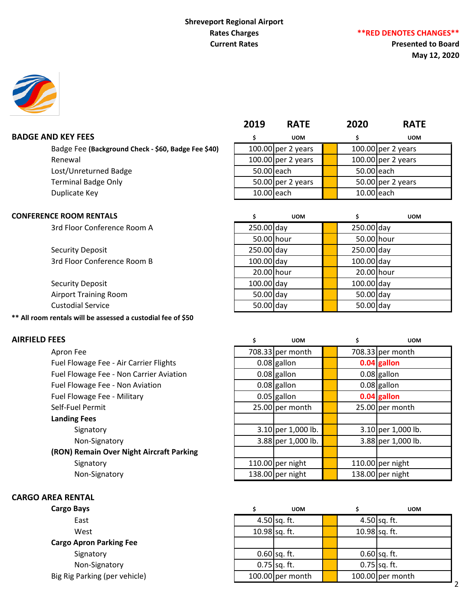# **Shreveport Regional Airport Rates Charges Current Rates**

**Presented to Board May 12, 2020**

|                                                     | 2019       | <b>RATE</b>        | 2020       | <b>RATE</b>         |  |
|-----------------------------------------------------|------------|--------------------|------------|---------------------|--|
| <b>ID KEY FEES</b>                                  |            | <b>UOM</b>         |            | <b>UOM</b>          |  |
| Badge Fee (Background Check - \$60, Badge Fee \$40) |            | 100.00 per 2 years |            | 100.00 per 2 years  |  |
| Renewal                                             |            | 100.00 per 2 years |            | 100.00 per 2 years  |  |
| Lost/Unreturned Badge                               | 50.00 each |                    | 50.00 each |                     |  |
| <b>Terminal Badge Only</b>                          |            | 50.00 per 2 years  |            | 50.00 $per 2 years$ |  |
|                                                     |            |                    |            |                     |  |

50.00 hour **1 50.00** hour

20.00 hour **1** 20.00 hour

### **BADGE AND KEY FEES**

Badge Fee (Background Check - \$60, Badge Fee \$40) Lost/Unreturned Badge Terminal Badge Only Duplicate Key **10.00 each 10.00 each** 10.00 each 10.00 each

### **CONFERENCE ROOM RENTALS \$ UOM \$ UOM**

3rd Floor Conference Room A 250.00 day 250.00 day 250.00 day

Security Deposit 250.00 day 250.00 day 250.00 day 250.00 day 3rd Floor Conference Room B 100.00 day 100.00 day 100.00 day

Security Deposit **100.00 assumed by Contract Contract Contract Contract Contract Contract Contract Contract Contract Contract Contract Contract Contract Contract Contract Contract Contract Contract Contract Contract Contra** Airport Training Room **50.00** day 50.00 day 50.00 day 50.00 day Custodial Service **1988** Custodial Service **1988** Solomon Solomon Solomon Solomon Solomon Solomon Solomon Solomon Solomon Solomon Solomon Solomon Solomon Solomon Solomon Solomon Solomon Solomon Solomon Solomon Solomon Solo

### **\*\* All room rentals will be assessed a custodial fee of \$50**

| Apron Fee                                |
|------------------------------------------|
| Fuel Flowage Fee - Air Carrier Flights   |
| Fuel Flowage Fee - Non Carrier Aviation  |
| Fuel Flowage Fee - Non Aviation          |
| Fuel Flowage Fee - Military              |
| Self-Fuel Permit                         |
| <b>Landing Fees</b>                      |
| Signatory                                |
| Non-Signatory                            |
| (RON) Remain Over Night Aircraft Parking |
| Signatory                                |

| <b>AIRFIELD FEES</b>                     | <b>UOM</b>         |  | <b>UOM</b>         |
|------------------------------------------|--------------------|--|--------------------|
| Apron Fee                                | 708.33 per month   |  | 708.33 per month   |
| Fuel Flowage Fee - Air Carrier Flights   | $0.08$ gallon      |  | $0.04$ gallon      |
| Fuel Flowage Fee - Non Carrier Aviation  | $0.08$ gallon      |  | $0.08$ gallon      |
| Fuel Flowage Fee - Non Aviation          | $0.08$ gallon      |  | $0.08$ gallon      |
| Fuel Flowage Fee - Military              | $0.05$ gallon      |  | 0.04 gallon        |
| Self-Fuel Permit                         | $25.00$ per month  |  | 25.00 per month    |
| <b>Landing Fees</b>                      |                    |  |                    |
| Signatory                                | 3.10 per 1,000 lb. |  | 3.10 per 1,000 lb. |
| Non-Signatory                            | 3.88 per 1,000 lb. |  | 3.88 per 1,000 lb. |
| (RON) Remain Over Night Aircraft Parking |                    |  |                    |
| Signatory                                | 110.00 per night   |  | 110.00 per night   |
| Non-Signatory                            | 138.00 per night   |  | 138.00 per night   |

### **CARGO AREA RENTAL**

### **Cargo Apron Parking Fee**

| Cargo Bays                     | <b>UOM</b>         |               | <b>UOM</b>         |
|--------------------------------|--------------------|---------------|--------------------|
| East                           | $4.50$ sq. ft.     |               | $4.50$ sq. ft.     |
| West                           | 10.98 sq. ft.      | 10.98 sq. ft. |                    |
| <b>Cargo Apron Parking Fee</b> |                    |               |                    |
| Signatory                      | $0.60$ sq. ft.     |               | $0.60$ sq. ft.     |
| Non-Signatory                  | $0.75$ sq. ft.     |               | $0.75$ sq. ft.     |
| Big Rig Parking (per vehicle)  | $100.00$ per month |               | $100.00$ per month |